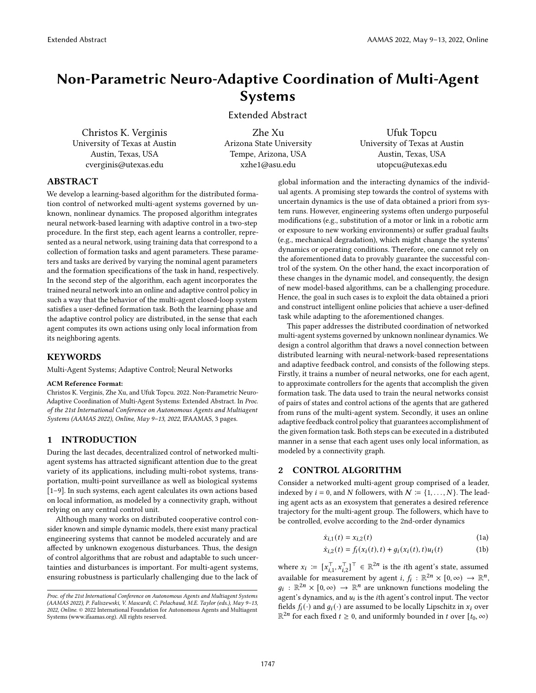# Non-Parametric Neuro-Adaptive Coordination of Multi-Agent Systems

Extended Abstract

Christos K. Verginis University of Texas at Austin Austin, Texas, USA cverginis@utexas.edu

Zhe Xu Arizona State University Tempe, Arizona, USA xzhe1@asu.edu

Ufuk Topcu University of Texas at Austin Austin, Texas, USA utopcu@utexas.edu

# ABSTRACT

We develop a learning-based algorithm for the distributed formation control of networked multi-agent systems governed by unknown, nonlinear dynamics. The proposed algorithm integrates neural network-based learning with adaptive control in a two-step procedure. In the first step, each agent learns a controller, represented as a neural network, using training data that correspond to a collection of formation tasks and agent parameters. These parameters and tasks are derived by varying the nominal agent parameters and the formation specifications of the task in hand, respectively. In the second step of the algorithm, each agent incorporates the trained neural network into an online and adaptive control policy in such a way that the behavior of the multi-agent closed-loop system satisfies a user-defined formation task. Both the learning phase and the adaptive control policy are distributed, in the sense that each agent computes its own actions using only local information from its neighboring agents.

#### KEYWORDS

Multi-Agent Systems; Adaptive Control; Neural Networks

#### ACM Reference Format:

Christos K. Verginis, Zhe Xu, and Ufuk Topcu. 2022. Non-Parametric Neuro-Adaptive Coordination of Multi-Agent Systems: Extended Abstract. In Proc. of the 21st International Conference on Autonomous Agents and Multiagent Systems (AAMAS 2022), Online, May 9–13, 2022, IFAAMAS, [3](#page-2-0) pages.

## 1 INTRODUCTION

During the last decades, decentralized control of networked multiagent systems has attracted significant attention due to the great variety of its applications, including multi-robot systems, transportation, multi-point surveillance as well as biological systems [\[1](#page-2-1)[–9\]](#page-2-2). In such systems, each agent calculates its own actions based on local information, as modeled by a connectivity graph, without relying on any central control unit.

Although many works on distributed cooperative control consider known and simple dynamic models, there exist many practical engineering systems that cannot be modeled accurately and are affected by unknown exogenous disturbances. Thus, the design of control algorithms that are robust and adaptable to such uncertainties and disturbances is important. For multi-agent systems, ensuring robustness is particularly challenging due to the lack of

global information and the interacting dynamics of the individual agents. A promising step towards the control of systems with uncertain dynamics is the use of data obtained a priori from system runs. However, engineering systems often undergo purposeful modifications (e.g., substitution of a motor or link in a robotic arm or exposure to new working environments) or suffer gradual faults (e.g., mechanical degradation), which might change the systems' dynamics or operating conditions. Therefore, one cannot rely on the aforementioned data to provably guarantee the successful control of the system. On the other hand, the exact incorporation of these changes in the dynamic model, and consequently, the design of new model-based algorithms, can be a challenging procedure. Hence, the goal in such cases is to exploit the data obtained a priori and construct intelligent online policies that achieve a user-defined task while adapting to the aforementioned changes.

This paper addresses the distributed coordination of networked multi-agent systems governed by unknown nonlinear dynamics. We design a control algorithm that draws a novel connection between distributed learning with neural-network-based representations and adaptive feedback control, and consists of the following steps. Firstly, it trains a number of neural networks, one for each agent, to approximate controllers for the agents that accomplish the given formation task. The data used to train the neural networks consist of pairs of states and control actions of the agents that are gathered from runs of the multi-agent system. Secondly, it uses an online adaptive feedback control policy that guarantees accomplishment of the given formation task. Both steps can be executed in a distributed manner in a sense that each agent uses only local information, as modeled by a connectivity graph.

## 2 CONTROL ALGORITHM

Consider a networked multi-agent group comprised of a leader, indexed by  $i = 0$ , and N followers, with  $N \coloneqq \{1, ..., N\}$ . The leading agent acts as an exosystem that generates a desired reference trajectory for the multi-agent group. The followers, which have to be controlled, evolve according to the 2nd-order dynamics

<span id="page-0-0"></span>
$$
\dot{x}_{i,1}(t) = x_{i,2}(t) \tag{1a}
$$

$$
\dot{x}_{i,2}(t) = f_i(x_i(t), t) + g_i(x_i(t), t)u_i(t)
$$
\n(1b)

where  $x_i := [x_{i,1}^\top, x_{i,2}^\top]^\top \in \mathbb{R}^{2n}$  is the *i*th agent's state, assumed available for measurement by agent *i*,  $f_i : \mathbb{R}^{2n} \times [0, \infty) \rightarrow \mathbb{R}^n$ ,  $g_i : \mathbb{R}^{2n} \times [0, \infty) \rightarrow \mathbb{R}^n$  are unknown functions modeling the agent's dynamics, and  $u_i$  is the *i*th agent's control input. The vector fields  $f_i(\cdot)$  and  $g_i(\cdot)$  are assumed to be locally Lipschitz in  $x_i$  over  $\mathbb{R}^{2n}$  for each fixed  $t \geq 0$ , and uniformly bounded in t over  $[t_0, \infty)$ 

Proc. of the 21st International Conference on Autonomous Agents and Multiagent Systems (AAMAS 2022), P. Faliszewski, V. Mascardi, C. Pelachaud, M.E. Taylor (eds.), May 9–13, 2022, Online. © 2022 International Foundation for Autonomous Agents and Multiagent Systems (www.ifaamas.org). All rights reserved.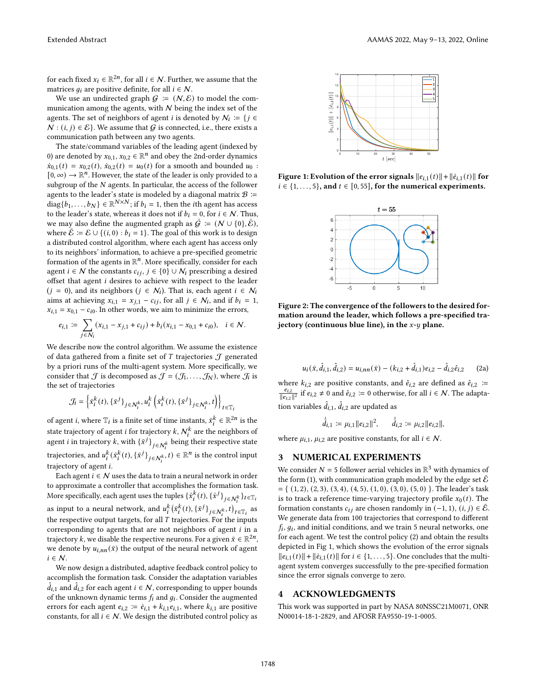for each fixed  $x_i \in \mathbb{R}^{2n}$ , for all  $i \in \mathcal{N}$ . Further, we assume that the matrices  $q_i$  are positive definite, for all  $i \in \mathcal{N}$ .

We use an undirected graph  $G := (N, \mathcal{E})$  to model the communication among the agents, with  $N$  being the index set of the agents. The set of neighbors of agent *i* is denoted by  $N_i := \{ j \in$  $N : (i, j) \in \mathcal{E}$ . We assume that G is connected, i.e., there exists a communication path between any two agents.

The state/command variables of the leading agent (indexed by 0) are denoted by  $x_{0,1}$ ,  $x_{0,2} \in \mathbb{R}^n$  and obey the 2nd-order dynamics  $\dot{x}_{0,1}(t) = x_{0,2}(t), \dot{x}_{0,2}(t) = u_0(t)$  for a smooth and bounded  $u_0$ :  $[0, \infty) \to \mathbb{R}^n$ . However, the state of the leader is only provided to a subgroup of the  $N$  agents. In particular, the access of the follower agents to the leader's state is modeled by a diagonal matrix  $\mathcal{B}$  :=  $diag\{b_1, \ldots, b_N\} \in \mathbb{R}^{N \times N}$ ; if  $b_i = 1$ , then the *i*th agent has access to the leader's state, whereas it does not if  $b_i = 0$ , for  $i \in \mathcal{N}$ . Thus, we may also define the augmented graph as  $\bar{G} := (N \cup \{0\}, \bar{\mathcal{E}}),$ where  $\bar{\mathcal{E}} \coloneqq \mathcal{E} \cup \{(i, 0) : b_i = 1\}$ . The goal of this work is to design a distributed control algorithm, where each agent has access only to its neighbors' information, to achieve a pre-specified geometric formation of the agents in  $\mathbb{R}^n$ . More specifically, consider for each agent  $i \in \mathcal{N}$  the constants  $c_{ij}, j \in \{0\} \cup \mathcal{N}_i$  prescribing a desired offset that agent  $i$  desires to achieve with respect to the leader  $(j = 0)$ , and its neighbors  $(j \in \mathcal{N}_i)$ . That is, each agent  $i \in \mathcal{N}_i$ aims at achieving  $x_{i,1} = x_{j,1} - c_{ij}$ , for all  $j \in \mathcal{N}_i$ , and if  $b_i = 1$ ,  $x_{i,1} = x_{0,1} - c_{i0}$ . In other words, we aim to minimize the errors,

$$
e_{i,1} := \sum_{j \in \mathcal{N}_i} (x_{i,1} - x_{j,1} + c_{ij}) + b_i (x_{i,1} - x_{0,1} + c_{i0}), \quad i \in \mathcal{N}.
$$

We describe now the control algorithm. We assume the existence of data gathered from a finite set of  $T$  trajectories  $J$  generated by a priori runs of the multi-agent system. More specifically, we consider that  $\mathcal J$  is decomposed as  $\mathcal J=(\mathcal J_1,\ldots,\mathcal J_N)$ , where  $\mathcal J_i$  is the set of trajectories

$$
\mathcal{J}_i = \left\{ \bar{x}_i^k(t), \{ \bar{x}^j \}_{j \in \mathcal{N}_i^k}, u_i^k \left( \bar{x}_i^k(t), \{ \bar{x}^j \}_{j \in \mathcal{N}_i^k}, t \right) \right\}_{t \in \mathbb{T}_i}
$$

of agent *i*, where  $\mathbb{T}_i$  is a finite set of time instants,  $\bar{x}_i^k \in \mathbb{R}^{2n}$  is the state trajectory of agent *i* for trajectory *k*,  $N_i^k$  are the neighbors of agent *i* in trajectory *k*, with  $\{\bar{x}^j\}_{j \in \mathcal{N}_i^k}$  being their respective state trajectories, and  $u_i^k(\bar{x}_i^k(t), \{\bar{x}^j\}_{j \in \mathcal{N}_i^k}, t) \in \mathbb{R}^n$  is the control input trajectory of agent *i*.

Each agent  $i \in \mathcal{N}$  uses the data to train a neural network in order to approximate a controller that accomplishes the formation task. More specifically, each agent uses the tuples  $\{\bar{x}_i^k(t), \{\bar{x}^j\}_{j \in \mathcal{N}_i^k}\}_{t \in \mathbb{T}_i}$ as input to a neural network, and  $u_i^k(\bar{x}_i^k(t), {\{\bar{x}^j\}}_{j \in \mathcal{N}_i^k}, t)_{t \in \mathbb{T}_i}$  as the respective output targets, for all  $T$  trajectories. For the inputs corresponding to agents that are not neighbors of agent  $i$  in a trajectory k, we disable the respective neurons. For a given  $\bar{x} \in \mathbb{R}^{2n}$ , we denote by  $u_{i,nn}(\bar{x})$  the output of the neural network of agent  $i \in \mathcal{N}$ .

We now design a distributed, adaptive feedback control policy to accomplish the formation task. Consider the adaptation variables  $\hat{d}_{i,1}$  and  $\hat{d}_{i,2}$  for each agent  $i \in \mathcal{N}$ , corresponding to upper bounds of the unknown dynamic terms  $f_i$  and  $g_i$ . Consider the augmented errors for each agent  $e_{i,2} \coloneqq \dot{e}_{i,1} + k_{i,1}e_{i,1}$ , where  $k_{i,1}$  are positive constants, for all  $i \in \mathcal{N}$ . We design the distributed control policy as

<span id="page-1-1"></span>

Figure 1: Evolution of the error signals  $||e_{i,1}(t)|| + ||\dot{e}_{i,1}(t)||$  for  $i \in \{1, \ldots, 5\}$ , and  $t \in [0, 55]$ , for the numerical experiments.



Figure 2: The convergence of the followers to the desired formation around the leader, which follows a pre-specified trajectory (continuous blue line), in the  $x-y$  plane.

<span id="page-1-0"></span>
$$
u_i(\bar{x}, \hat{d}_{i,1}, \hat{d}_{i,2}) = u_{i,nn}(\bar{x}) - (k_{i,2} + \hat{d}_{i,1})e_{i,2} - \hat{d}_{i,2}\hat{e}_{i,2}
$$
 (2a)

where  $k_{i,2}$  are positive constants, and  $\hat{e}_{i,2}$  are defined as  $\hat{e}_{i,2}$  :=  $\frac{2}{e_{i,2}}$  $\frac{e_{i,2}}{\|e_{i,2}\|^2}$  if  $e_{i,2} \neq 0$  and  $\hat{e}_{i,2} \coloneqq 0$  otherwise, for all  $i \in \mathcal{N}$ . The adaptation variables  $\hat{d}_{i,1},$   $\hat{d}_{i,2}$  are updated as

$$
\dot{\hat{d}}_{i,1} := \mu_{i,1} ||e_{i,2}||^2, \quad \dot{\hat{d}}_{i,2} := \mu_{i,2} ||e_{i,2}||,
$$

where  $\mu_{i,1}, \mu_{i,2}$  are positive constants, for all  $i \in \mathcal{N}$ .

#### 3 NUMERICAL EXPERIMENTS

We consider  $N = 5$  follower aerial vehicles in  $\mathbb{R}^3$  with dynamics of the form [\(1\)](#page-0-0), with communication graph modeled by the edge set  $\bar{\mathcal{E}}$  $= \{ (1, 2), (2, 3), (3, 4), (4, 5), (1, 0), (3, 0), (5, 0) \}.$  The leader's task is to track a reference time-varying trajectory profile  $x_0(t)$ . The formation constants  $c_{ij}$  are chosen randomly in (−1, 1),  $(i, j) \in \overline{E}$ . We generate data from 100 trajectories that correspond to different  $f_i$ ,  $g_i$ , and initial conditions, and we train 5 neural networks, one for each agent. We test the control policy [\(2\)](#page-1-0) and obtain the results depicted in Fig [1,](#page-1-1) which shows the evolution of the error signals  $||e_{i,1}(t)|| + ||\dot{e}_{i,1}(t)||$  for  $i \in \{1, \ldots, 5\}$ . One concludes that the multiagent system converges successfully to the pre-specified formation since the error signals converge to zero.

#### 4 ACKNOWLEDGMENTS

This work was supported in part by NASA 80NSSC21M0071, ONR N00014-18-1-2829, and AFOSR FA9550-19-1-0005.